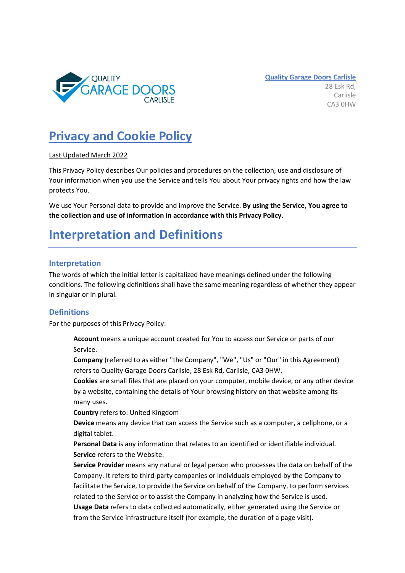

**Quality Garage Doors Carlisle** 28 Esk Rd, Carlisle CA3 0HW

# **Privacy and Cookie Policy**

#### Last Updated March 2022

This Privacy Policy describes Our policies and procedures on the collection, use and disclosure of Your information when you use the Service and tells You about Your privacy rights and how the law protects You.

We use Your Personal data to provide and improve the Service. **By using the Service, You agree to the collection and use of information in accordance with this Privacy Policy.** 

# **Interpretation and Definitions**

### **Interpretation**

The words of which the initial letter is capitalized have meanings defined under the following conditions. The following definitions shall have the same meaning regardless of whether they appear in singular or in plural.

### **Definitions**

For the purposes of this Privacy Policy:

**Account** means a unique account created for You to access our Service or parts of our Service.

**Company** (referred to as either "the Company", "We", "Us" or "Our" in this Agreement) refers to Quality Garage Doors Carlisle, 28 Esk Rd, Carlisle, CA3 0HW.

**Cookies** are small files that are placed on your computer, mobile device, or any other device by a website, containing the details of Your browsing history on that website among its many uses.

**Country** refers to: United Kingdom

**Device** means any device that can access the Service such as a computer, a cellphone, or a digital tablet.

**Personal Data** is any information that relates to an identified or identifiable individual. **Service** refers to the Website.

**Service Provider** means any natural or legal person who processes the data on behalf of the Company. It refers to third-party companies or individuals employed by the Company to facilitate the Service, to provide the Service on behalf of the Company, to perform services related to the Service or to assist the Company in analyzing how the Service is used. **Usage Data** refers to data collected automatically, either generated using the Service or from the Service infrastructure itself (for example, the duration of a page visit).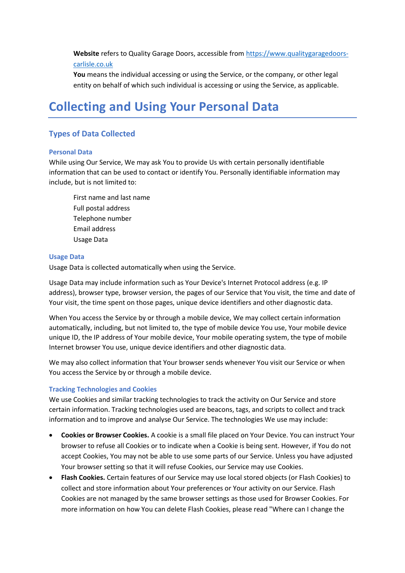**Website** refers to Quality Garage Doors, accessible fro[m https://www.qualitygaragedoors](https://www.qualitygaragedoors-carlisle.co.uk/)[carlisle.co.uk](https://www.qualitygaragedoors-carlisle.co.uk/)

**You** means the individual accessing or using the Service, or the company, or other legal entity on behalf of which such individual is accessing or using the Service, as applicable.

# **Collecting and Using Your Personal Data**

# **Types of Data Collected**

#### **Personal Data**

While using Our Service, We may ask You to provide Us with certain personally identifiable information that can be used to contact or identify You. Personally identifiable information may include, but is not limited to:

First name and last name Full postal address Telephone number Email address Usage Data

#### **Usage Data**

Usage Data is collected automatically when using the Service.

Usage Data may include information such as Your Device's Internet Protocol address (e.g. IP address), browser type, browser version, the pages of our Service that You visit, the time and date of Your visit, the time spent on those pages, unique device identifiers and other diagnostic data.

When You access the Service by or through a mobile device, We may collect certain information automatically, including, but not limited to, the type of mobile device You use, Your mobile device unique ID, the IP address of Your mobile device, Your mobile operating system, the type of mobile Internet browser You use, unique device identifiers and other diagnostic data.

We may also collect information that Your browser sends whenever You visit our Service or when You access the Service by or through a mobile device.

#### **Tracking Technologies and Cookies**

We use Cookies and similar tracking technologies to track the activity on Our Service and store certain information. Tracking technologies used are beacons, tags, and scripts to collect and track information and to improve and analyse Our Service. The technologies We use may include:

- **Cookies or Browser Cookies.** A cookie is a small file placed on Your Device. You can instruct Your browser to refuse all Cookies or to indicate when a Cookie is being sent. However, if You do not accept Cookies, You may not be able to use some parts of our Service. Unless you have adjusted Your browser setting so that it will refuse Cookies, our Service may use Cookies.
- **Flash Cookies.** Certain features of our Service may use local stored objects (or Flash Cookies) to collect and store information about Your preferences or Your activity on our Service. Flash Cookies are not managed by the same browser settings as those used for Browser Cookies. For more information on how You can delete Flash Cookies, please read "Where can I change the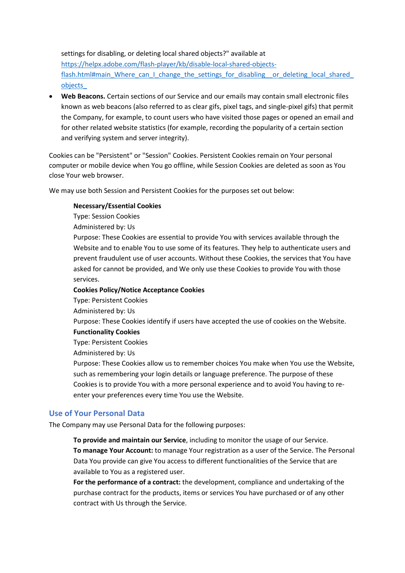settings for disabling, or deleting local shared objects?" available at [https://helpx.adobe.com/flash-player/kb/disable-local-shared-objects](https://helpx.adobe.com/flash-player/kb/disable-local-shared-objects-flash.html#main_Where_can_I_change_the_settings_for_disabling__or_deleting_local_shared_objects_)flash.html#main\_Where\_can\_I\_change\_the\_settings\_for\_disabling\_\_or\_deleting\_local\_shared [objects\\_](https://helpx.adobe.com/flash-player/kb/disable-local-shared-objects-flash.html#main_Where_can_I_change_the_settings_for_disabling__or_deleting_local_shared_objects_)

• **Web Beacons.** Certain sections of our Service and our emails may contain small electronic files known as web beacons (also referred to as clear gifs, pixel tags, and single-pixel gifs) that permit the Company, for example, to count users who have visited those pages or opened an email and for other related website statistics (for example, recording the popularity of a certain section and verifying system and server integrity).

Cookies can be "Persistent" or "Session" Cookies. Persistent Cookies remain on Your personal computer or mobile device when You go offline, while Session Cookies are deleted as soon as You close Your web browser.

We may use both Session and Persistent Cookies for the purposes set out below:

### **Necessary/Essential Cookies**

Type: Session Cookies

Administered by: Us

Purpose: These Cookies are essential to provide You with services available through the Website and to enable You to use some of its features. They help to authenticate users and prevent fraudulent use of user accounts. Without these Cookies, the services that You have asked for cannot be provided, and We only use these Cookies to provide You with those services.

### **Cookies Policy/Notice Acceptance Cookies**

Type: Persistent Cookies

Administered by: Us

Purpose: These Cookies identify if users have accepted the use of cookies on the Website. **Functionality Cookies**

Type: Persistent Cookies

Administered by: Us

Purpose: These Cookies allow us to remember choices You make when You use the Website, such as remembering your login details or language preference. The purpose of these Cookies is to provide You with a more personal experience and to avoid You having to reenter your preferences every time You use the Website.

# **Use of Your Personal Data**

The Company may use Personal Data for the following purposes:

**To provide and maintain our Service**, including to monitor the usage of our Service. **To manage Your Account:** to manage Your registration as a user of the Service. The Personal Data You provide can give You access to different functionalities of the Service that are available to You as a registered user.

**For the performance of a contract:** the development, compliance and undertaking of the purchase contract for the products, items or services You have purchased or of any other contract with Us through the Service.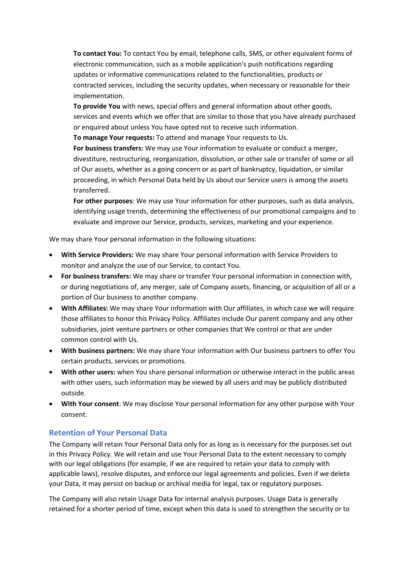**To contact You:** To contact You by email, telephone calls, SMS, or other equivalent forms of electronic communication, such as a mobile application's push notifications regarding updates or informative communications related to the functionalities, products or contracted services, including the security updates, when necessary or reasonable for their implementation.

**To provide You** with news, special offers and general information about other goods, services and events which we offer that are similar to those that you have already purchased or enquired about unless You have opted not to receive such information.

**To manage Your requests:** To attend and manage Your requests to Us.

**For business transfers:** We may use Your information to evaluate or conduct a merger, divestiture, restructuring, reorganization, dissolution, or other sale or transfer of some or all of Our assets, whether as a going concern or as part of bankruptcy, liquidation, or similar proceeding, in which Personal Data held by Us about our Service users is among the assets transferred.

**For other purposes**: We may use Your information for other purposes, such as data analysis, identifying usage trends, determining the effectiveness of our promotional campaigns and to evaluate and improve our Service, products, services, marketing and your experience.

We may share Your personal information in the following situations:

- **With Service Providers:** We may share Your personal information with Service Providers to monitor and analyze the use of our Service, to contact You.
- **For business transfers:** We may share or transfer Your personal information in connection with, or during negotiations of, any merger, sale of Company assets, financing, or acquisition of all or a portion of Our business to another company.
- **With Affiliates:** We may share Your information with Our affiliates, in which case we will require those affiliates to honor this Privacy Policy. Affiliates include Our parent company and any other subsidiaries, joint venture partners or other companies that We control or that are under common control with Us.
- **With business partners:** We may share Your information with Our business partners to offer You certain products, services or promotions.
- **With other users:** when You share personal information or otherwise interact in the public areas with other users, such information may be viewed by all users and may be publicly distributed outside.
- **With Your consent**: We may disclose Your personal information for any other purpose with Your consent.

# **Retention of Your Personal Data**

The Company will retain Your Personal Data only for as long as is necessary for the purposes set out in this Privacy Policy. We will retain and use Your Personal Data to the extent necessary to comply with our legal obligations (for example, if we are required to retain your data to comply with applicable laws), resolve disputes, and enforce our legal agreements and policies. Even if we delete your Data, it may persist on backup or archival media for legal, tax or regulatory purposes.

The Company will also retain Usage Data for internal analysis purposes. Usage Data is generally retained for a shorter period of time, except when this data is used to strengthen the security or to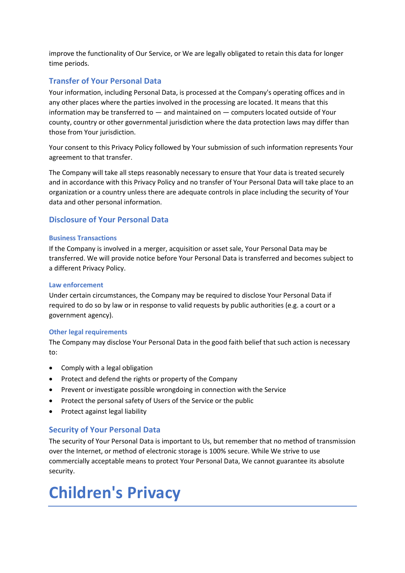improve the functionality of Our Service, or We are legally obligated to retain this data for longer time periods.

# **Transfer of Your Personal Data**

Your information, including Personal Data, is processed at the Company's operating offices and in any other places where the parties involved in the processing are located. It means that this information may be transferred to — and maintained on — computers located outside of Your county, country or other governmental jurisdiction where the data protection laws may differ than those from Your jurisdiction.

Your consent to this Privacy Policy followed by Your submission of such information represents Your agreement to that transfer.

The Company will take all steps reasonably necessary to ensure that Your data is treated securely and in accordance with this Privacy Policy and no transfer of Your Personal Data will take place to an organization or a country unless there are adequate controls in place including the security of Your data and other personal information.

## **Disclosure of Your Personal Data**

#### **Business Transactions**

If the Company is involved in a merger, acquisition or asset sale, Your Personal Data may be transferred. We will provide notice before Your Personal Data is transferred and becomes subject to a different Privacy Policy.

### **Law enforcement**

Under certain circumstances, the Company may be required to disclose Your Personal Data if required to do so by law or in response to valid requests by public authorities (e.g. a court or a government agency).

#### **Other legal requirements**

The Company may disclose Your Personal Data in the good faith belief that such action is necessary to:

- Comply with a legal obligation
- Protect and defend the rights or property of the Company
- Prevent or investigate possible wrongdoing in connection with the Service
- Protect the personal safety of Users of the Service or the public
- Protect against legal liability

# **Security of Your Personal Data**

The security of Your Personal Data is important to Us, but remember that no method of transmission over the Internet, or method of electronic storage is 100% secure. While We strive to use commercially acceptable means to protect Your Personal Data, We cannot guarantee its absolute security.

# **Children's Privacy**